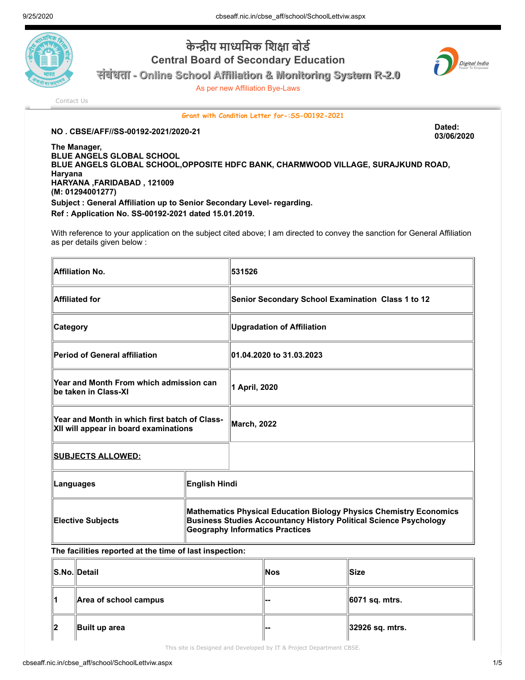

## **केीय मािमक िशा बोड Central Board of Secondary Education**

**संबंधता - Online School Affiliation & Monitoring System R-2.0**

As per new Affiliation Bye-Laws



[Contact Us](http://cbseaff.nic.in/cbse_aff/help.aspx)

**Grant with Condition Letter for-:SS-00192-2021**

## **NO . CBSE/AFF//SS-00192-2021/2020-21 Dated:**

**03/06/2020**

**The Manager, BLUE ANGELS GLOBAL SCHOOL BLUE ANGELS GLOBAL SCHOOL,OPPOSITE HDFC BANK, CHARMWOOD VILLAGE, SURAJKUND ROAD, Haryana HARYANA ,FARIDABAD , 121009 (M: 01294001277) Subject : General Affiliation up to Senior Secondary Level- regarding. Ref : Application No. SS-00192-2021 dated 15.01.2019.**

With reference to your application on the subject cited above; I am directed to convey the sanction for General Affiliation as per details given below :

| <b>Affiliation No.</b>                                                                 |                                                                                                                                                                                          | 531526                                            |
|----------------------------------------------------------------------------------------|------------------------------------------------------------------------------------------------------------------------------------------------------------------------------------------|---------------------------------------------------|
| <b>Affiliated for</b>                                                                  |                                                                                                                                                                                          | Senior Secondary School Examination Class 1 to 12 |
| <b>Category</b>                                                                        |                                                                                                                                                                                          | <b>Upgradation of Affiliation</b>                 |
| <b>Period of General affiliation</b>                                                   |                                                                                                                                                                                          | 01.04.2020 to 31.03.2023                          |
| Year and Month From which admission can<br>be taken in Class-XI                        |                                                                                                                                                                                          | 1 April, 2020                                     |
| Year and Month in which first batch of Class-<br>XII will appear in board examinations |                                                                                                                                                                                          | <b>March, 2022</b>                                |
| <b>SUBJECTS ALLOWED:</b>                                                               |                                                                                                                                                                                          |                                                   |
| Languages                                                                              | English Hindi                                                                                                                                                                            |                                                   |
| <b>Elective Subjects</b>                                                               | Mathematics Physical Education Biology Physics Chemistry Economics<br><b>Business Studies Accountancy History Political Science Psychology</b><br><b>Geography Informatics Practices</b> |                                                   |

## **The facilities reported at the time of last inspection:**

|       | S.No. Detail                      | <b>Nos</b> | lSize∶          |
|-------|-----------------------------------|------------|-----------------|
| ∥⊿    | $\parallel$ Area of school campus |            | ∥6071 sq. mtrs. |
| $\ 2$ | Built up area                     | .          | 32926 sq. mtrs. |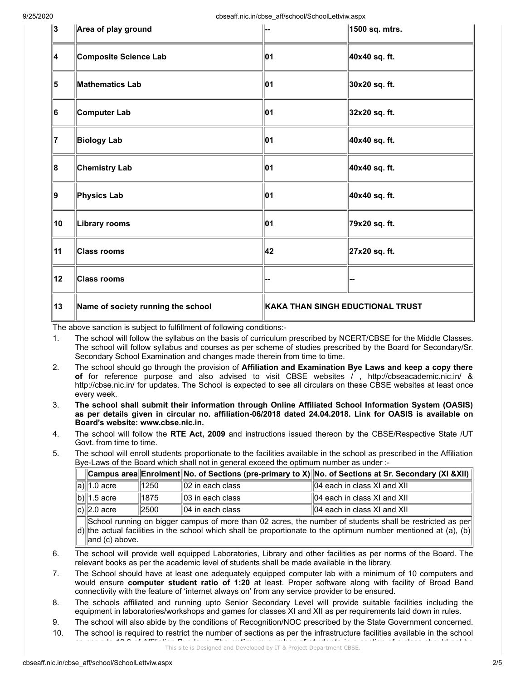9/25/2020 **cbseaff.nic.in/cbse\_aff/school/SchoolLettviw.aspx** cbseaff.nic.in/cbse

| ∥3 | Area of play ground                |                                  | 1500 sq. mtrs. |
|----|------------------------------------|----------------------------------|----------------|
| 4  | <b>Composite Science Lab</b>       | 01                               | 40x40 sq. ft.  |
| 5  | <b>Mathematics Lab</b>             | 01                               | 30x20 sq. ft.  |
| 6  | Computer Lab                       | 01                               | 32x20 sq. ft.  |
| 17 | <b>Biology Lab</b>                 | 01                               | 40x40 sq. ft.  |
| 8  | <b>Chemistry Lab</b>               | 01                               | 40x40 sq. ft.  |
| ∥9 | Physics Lab                        | 01                               | 40x40 sq. ft.  |
| 10 | Library rooms                      | 01                               | 79x20 sq. ft.  |
| 11 | <b>Class rooms</b>                 | 42                               | 27x20 sq. ft.  |
| 12 | Class rooms                        |                                  |                |
| 13 | Name of society running the school | KAKA THAN SINGH EDUCTIONAL TRUST |                |

The above sanction is subject to fulfillment of following conditions:-

- 1. The school will follow the syllabus on the basis of curriculum prescribed by NCERT/CBSE for the Middle Classes. The school will follow syllabus and courses as per scheme of studies prescribed by the Board for Secondary/Sr. Secondary School Examination and changes made therein from time to time.
- 2. The school should go through the provision of **Affiliation and Examination Bye Laws and keep a copy there of** for reference purpose and also advised to visit CBSE websites / , http://cbseacademic.nic.in/ & http://cbse.nic.in/ for updates. The School is expected to see all circulars on these CBSE websites at least once every week.
- 3. **The school shall submit their information through Online Affiliated School Information System (OASIS) as per details given in circular no. affiliation-06/2018 dated 24.04.2018. Link for OASIS is available on Board's website: www.cbse.nic.in.**
- 4. The school will follow the **RTE Act, 2009** and instructions issued thereon by the CBSE/Respective State /UT Govt. from time to time.
- 5. The school will enroll students proportionate to the facilities available in the school as prescribed in the Affiliation Bye-Laws of the Board which shall not in general exceed the optimum number as under :-

|                         |      |                              | $\ $ Campus area $\ $ Enrolment $\ $ No. of Sections (pre-primary to X) No. of Sections at Sr. Secondary (XI &XII) |
|-------------------------|------|------------------------------|--------------------------------------------------------------------------------------------------------------------|
| a)∥1.0 acre             | 1250 | $  02$ in each class         | $\parallel$ 04 each in class XI and XII                                                                            |
| b) $\parallel$ 1.5 acre | 1875 | $\parallel$ 03 in each class | $\parallel$ 04 each in class XI and XII                                                                            |
| c) $\ 2.0\>\text{acre}$ | 2500 | $  04$ in each class         | $\parallel$ 04 each in class XI and XII                                                                            |

d) the actual facilities in the school which shall be proportionate to the optimum number mentioned at (a), (b) School running on bigger campus of more than 02 acres, the number of students shall be restricted as per and (c) above.

- 6. The school will provide well equipped Laboratories, Library and other facilities as per norms of the Board. The relevant books as per the academic level of students shall be made available in the library.
- 7. The School should have at least one adequately equipped computer lab with a minimum of 10 computers and would ensure **computer student ratio of 1:20** at least. Proper software along with facility of Broad Band connectivity with the feature of 'internet always on' from any service provider to be ensured.
- 8. The schools affiliated and running upto Senior Secondary Level will provide suitable facilities including the equipment in laboratories/workshops and games for classes XI and XII as per requirements laid down in rules.
- 9. The school will also abide by the conditions of Recognition/NOC prescribed by the State Government concerned.
- 10. The school is required to restrict the number of sections as per the infrastructure facilities available in the school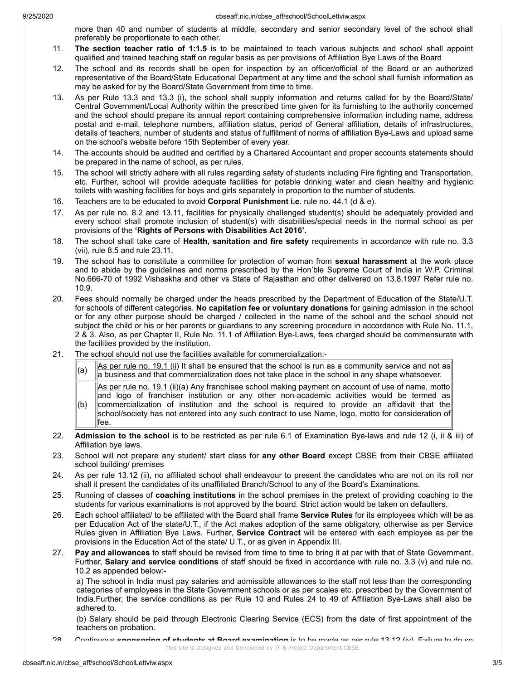9/25/2020 9/25/2020

more than 40 and number of students at middle, secondary and senior secondary level of the school shall preferably be proportionate to each other.

- 11. **The section teacher ratio of 1:1.5** is to be maintained to teach various subjects and school shall appoint qualified and trained teaching staff on regular basis as per provisions of Affiliation Bye Laws of the Board
- 12. The school and its records shall be open for inspection by an officer/official of the Board or an authorized representative of the Board/State Educational Department at any time and the school shall furnish information as may be asked for by the Board/State Government from time to time.
- 13. As per Rule 13.3 and 13.3 (i), the school shall supply information and returns called for by the Board/State/ Central Government/Local Authority within the prescribed time given for its furnishing to the authority concerned and the school should prepare its annual report containing comprehensive information including name, address postal and e-mail, telephone numbers, affiliation status, period of General affiliation, details of infrastructures, details of teachers, number of students and status of fulfillment of norms of affiliation Bye-Laws and upload same on the school's website before 15th September of every year.
- 14. The accounts should be audited and certified by a Chartered Accountant and proper accounts statements should be prepared in the name of school, as per rules.
- 15. The school will strictly adhere with all rules regarding safety of students including Fire fighting and Transportation, etc. Further, school will provide adequate facilities for potable drinking water and clean healthy and hygienic toilets with washing facilities for boys and girls separately in proportion to the number of students.
- 16. Teachers are to be educated to avoid **Corporal Punishment i.e**. rule no. 44.1 (d & e).
- 17. As per rule no. 8.2 and 13.11, facilities for physically challenged student(s) should be adequately provided and every school shall promote inclusion of student(s) with disabilities/special needs in the normal school as per provisions of the **'Rights of Persons with Disabilities Act 2016'.**
- 18. The school shall take care of **Health, sanitation and fire safety** requirements in accordance with rule no. 3.3 (vii), rule 8.5 and rule 23.11.
- 19. The school has to constitute a committee for protection of woman from **sexual harassment** at the work place and to abide by the guidelines and norms prescribed by the Hon'ble Supreme Court of India in W.P. Criminal No.666-70 of 1992 Vishaskha and other vs State of Rajasthan and other delivered on 13.8.1997 Refer rule no. 10.9.
- 20. Fees should normally be charged under the heads prescribed by the Department of Education of the State/U.T. for schools of different categories. **No capitation fee or voluntary donations** for gaining admission in the school or for any other purpose should be charged / collected in the name of the school and the school should not subject the child or his or her parents or guardians to any screening procedure in accordance with Rule No. 11.1, 2 & 3. Also, as per Chapter II, Rule No. 11.1 of Affiliation Bye-Laws, fees charged should be commensurate with the facilities provided by the institution.
- 21. The school should not use the facilities available for commercialization:-
	- (a)  $\boxed{\begin{array}{c} \text{As per rule no. 19.1 (ii) It shall be ensured that the school is run as a community service and not as} \end{array}}$ a business and that commercialization does not take place in the school in any shape whatsoever.  $(b)$ As per rule no. 19.1 (ii)(a) Any franchisee school making payment on account of use of name, motto and logo of franchiser institution or any other non-academic activities would be termed as commercialization of institution and the school is required to provide an affidavit that the school/society has not entered into any such contract to use Name, logo, motto for consideration of fee.
- 22. **Admission to the school** is to be restricted as per rule 6.1 of Examination Bye-laws and rule 12 (i, ii & iii) of Affiliation bye laws.
- 23. School will not prepare any student/ start class for **any other Board** except CBSE from their CBSE affiliated school building/ premises
- 24. As per rule 13.12 (ii), no affiliated school shall endeavour to present the candidates who are not on its roll nor shall it present the candidates of its unaffiliated Branch/School to any of the Board's Examinations.
- 25. Running of classes of **coaching institutions** in the school premises in the pretext of providing coaching to the students for various examinations is not approved by the board. Strict action would be taken on defaulters.
- 26. Each school affiliated/ to be affiliated with the Board shall frame **Service Rules** for its employees which will be as per Education Act of the state/U.T., if the Act makes adoption of the same obligatory, otherwise as per Service Rules given in Affiliation Bye Laws. Further, **Service Contract** will be entered with each employee as per the provisions in the Education Act of the state/ U.T., or as given in Appendix III.
- 27. **Pay and allowances** to staff should be revised from time to time to bring it at par with that of State Government. Further, **Salary and service conditions** of staff should be fixed in accordance with rule no. 3.3 (v) and rule no. 10.2 as appended below:-

a) The school in India must pay salaries and admissible allowances to the staff not less than the corresponding categories of employees in the State Government schools or as per scales etc. prescribed by the Government of India.Further, the service conditions as per Rule 10 and Rules 24 to 49 of Affiliation Bye-Laws shall also be adhered to.

(b) Salary should be paid through Electronic Clearing Service (ECS) from the date of first appointment of the teachers on probation.

<sup>28.</sup> Continuous **sponsoring of students at Board examination** is to be made as per rule 13.12 (iv). Failure to do so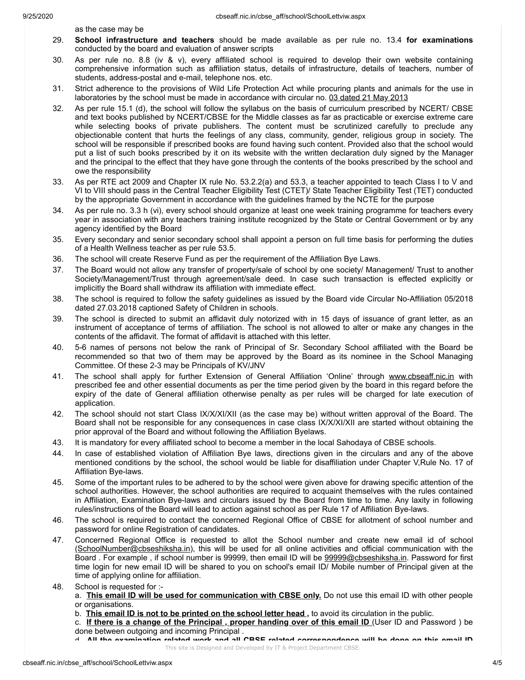as the case may be

- 29. **School infrastructure and teachers** should be made available as per rule no. 13.4 **for examinations** conducted by the board and evaluation of answer scripts
- 30. As per rule no. 8.8 (iv & v), every affiliated school is required to develop their own website containing comprehensive information such as affiliation status, details of infrastructure, details of teachers, number of students, address-postal and e-mail, telephone nos. etc.
- 31. Strict adherence to the provisions of Wild Life Protection Act while procuring plants and animals for the use in laboratories by the school must be made in accordance with circular no. 03 dated 21 May 2013
- 32. As per rule 15.1 (d), the school will follow the syllabus on the basis of curriculum prescribed by NCERT/ CBSE and text books published by NCERT/CBSE for the Middle classes as far as practicable or exercise extreme care while selecting books of private publishers. The content must be scrutinized carefully to preclude any objectionable content that hurts the feelings of any class, community, gender, religious group in society. The school will be responsible if prescribed books are found having such content. Provided also that the school would put a list of such books prescribed by it on its website with the written declaration duly signed by the Manager and the principal to the effect that they have gone through the contents of the books prescribed by the school and owe the responsibility
- 33. As per RTE act 2009 and Chapter IX rule No. 53.2.2(a) and 53.3, a teacher appointed to teach Class I to V and VI to VIII should pass in the Central Teacher Eligibility Test (CTET)/ State Teacher Eligibility Test (TET) conducted by the appropriate Government in accordance with the guidelines framed by the NCTE for the purpose
- 34. As per rule no. 3.3 h (vi), every school should organize at least one week training programme for teachers every year in association with any teachers training institute recognized by the State or Central Government or by any agency identified by the Board
- 35. Every secondary and senior secondary school shall appoint a person on full time basis for performing the duties of a Health Wellness teacher as per rule 53.5.
- 36. The school will create Reserve Fund as per the requirement of the Affiliation Bye Laws.
- 37. The Board would not allow any transfer of property/sale of school by one society/ Management/ Trust to another Society/Management/Trust through agreement/sale deed. In case such transaction is effected explicitly or implicitly the Board shall withdraw its affiliation with immediate effect.
- 38. The school is required to follow the safety guidelines as issued by the Board vide Circular No-Affiliation 05/2018 dated 27.03.2018 captioned Safety of Children in schools.
- 39. The school is directed to submit an affidavit duly notorized with in 15 days of issuance of grant letter, as an instrument of acceptance of terms of affiliation. The school is not allowed to alter or make any changes in the contents of the affidavit. The format of affidavit is attached with this letter.
- 40. 5-6 names of persons not below the rank of Principal of Sr. Secondary School affiliated with the Board be recommended so that two of them may be approved by the Board as its nominee in the School Managing Committee. Of these 2-3 may be Principals of KV/JNV
- 41. The school shall apply for further Extension of General Affiliation 'Online' through www.cbseaff.nic.in with prescribed fee and other essential documents as per the time period given by the board in this regard before the expiry of the date of General affiliation otherwise penalty as per rules will be charged for late execution of application.
- 42. The school should not start Class IX/X/XI/XII (as the case may be) without written approval of the Board. The Board shall not be responsible for any consequences in case class IX/X/XI/XII are started without obtaining the prior approval of the Board and without following the Affiliation Byelaws.
- 43. It is mandatory for every affiliated school to become a member in the local Sahodaya of CBSE schools.
- 44. In case of established violation of Affiliation Bye laws, directions given in the circulars and any of the above mentioned conditions by the school, the school would be liable for disaffiliation under Chapter V,Rule No. 17 of Affiliation Bye-laws.
- 45. Some of the important rules to be adhered to by the school were given above for drawing specific attention of the school authorities. However, the school authorities are required to acquaint themselves with the rules contained in Affiliation, Examination Bye-laws and circulars issued by the Board from time to time. Any laxity in following rules/instructions of the Board will lead to action against school as per Rule 17 of Affiliation Bye-laws.
- 46. The school is required to contact the concerned Regional Office of CBSE for allotment of school number and password for online Registration of candidates.
- 47. Concerned Regional Office is requested to allot the School number and create new email id of school (SchoolNumber@cbseshiksha.in), this will be used for all online activities and official communication with the Board . For example , if school number is 99999, then email ID will be 99999@cbseshiksha.in. Password for first time login for new email ID will be shared to you on school's email ID/ Mobile number of Principal given at the time of applying online for affiliation.
- 48. School is requested for :-

a. **This email ID will be used for communication with CBSE only.** Do not use this email ID with other people or organisations.

- b. **This email ID is not to be printed on the school letter head ,** to avoid its circulation in the public.
- c. **If there is a change of the Principal , proper handing over of this email ID** (User ID and Password ) be done between outgoing and incoming Principal .

d. **All the examination related work and all CBSE related correspondence will be done on this email ID** This site is Designed and Developed by IT & Project Department CBSE.